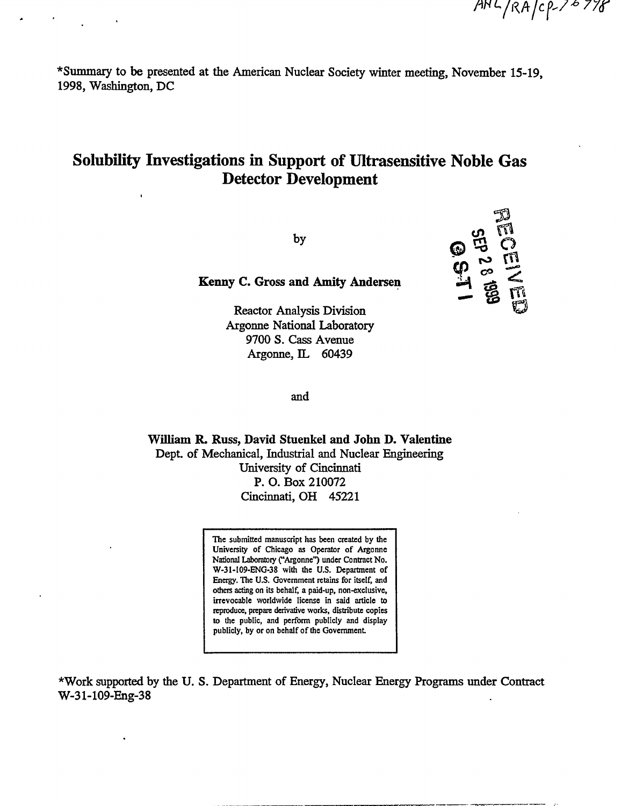$AHL/RA/cP-76778$ 

\*Summary to be presented at the American Nuclear Society winter meeting, November 15-19, 1998, Washington, DC

## **Solubility Investigations in Support of Ultrasensitive Noble Gas Detector Development**

by



Kenny C. Gross and Amity Andersen

**Reactor Analysis Division Argonne National Laboratory** 9700 S. Cass Avenue Argonne, IL 60439

and

William R. Russ, David Stuenkel and John D. Valentine Dept. of Mechanical, Industrial and Nuclear Engineering University of Cincinnati P. O. Box 210072 Cincinnati, OH 45221

> The submitted manuscript has been created by the University of Chicago as Operator of Argonne National Laboratory ("Argonne") under Contract No. W-31-109-ENG-38 with the U.S. Department of Energy. The U.S. Government retains for itself, and others acting on its behalf, a paid-up, non-exclusive, irrevocable worldwide license in said article to reproduce, prepare derivative works, distribute copies to the public, and perform publicly and display publicly, by or on behalf of the Government.

\*Work supported by the U.S. Department of Energy, Nuclear Energy Programs under Contract W-31-109-Eng-38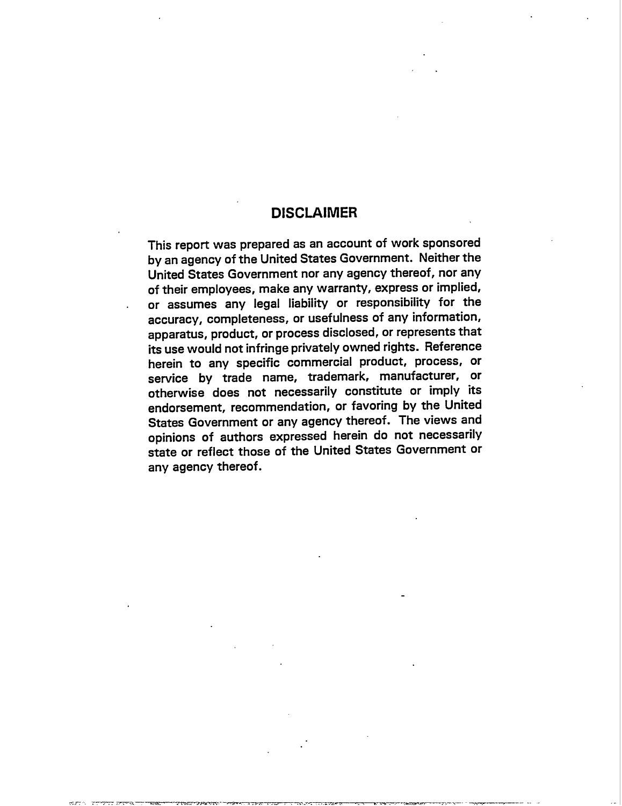### **DISCLAIMER**

This report was prepared as an account of work sponsored by an agency of the United States Government. Neither the United States Government nor any agency thereof, nor any of their employees, make any warranty, express or implied, or assumes any legal liability or responsibility for the accuracy, completeness, or usefulness of any information, apparatus, product, or process disclosed, or represents that its use would not infringe privately owned rights. Reference herein to any specific commercial product, process, or service by trade name, trademark, manufacturer, or otherwise does not necessarily constitute or imply its endorsement, recommendation, or favoring by the United States Government or any agency thereof. The views and opinions of authors expressed herein do not necessarily state or reflect those of the United States Government or any agency thereof.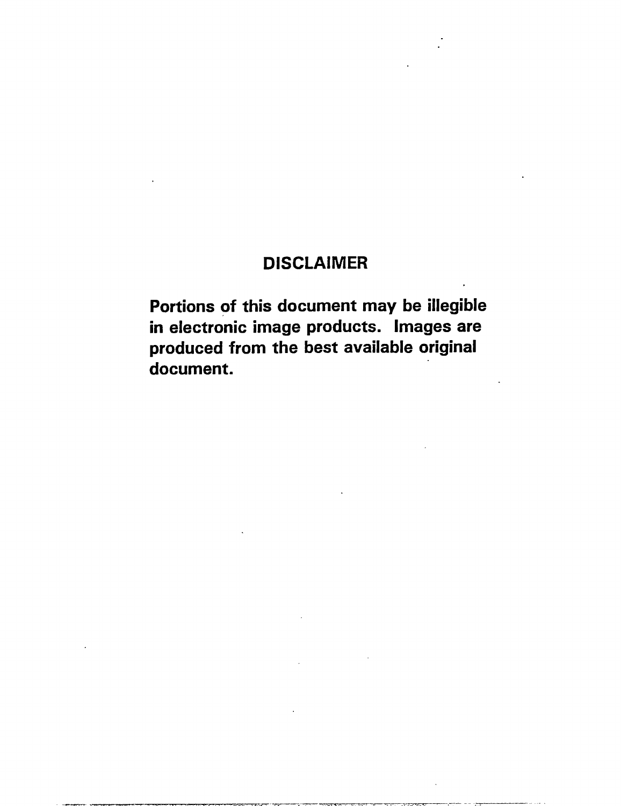# **DISCLAIMER**

Portions of this document may be illegible in electronic image products. Images are produced from the best available original document.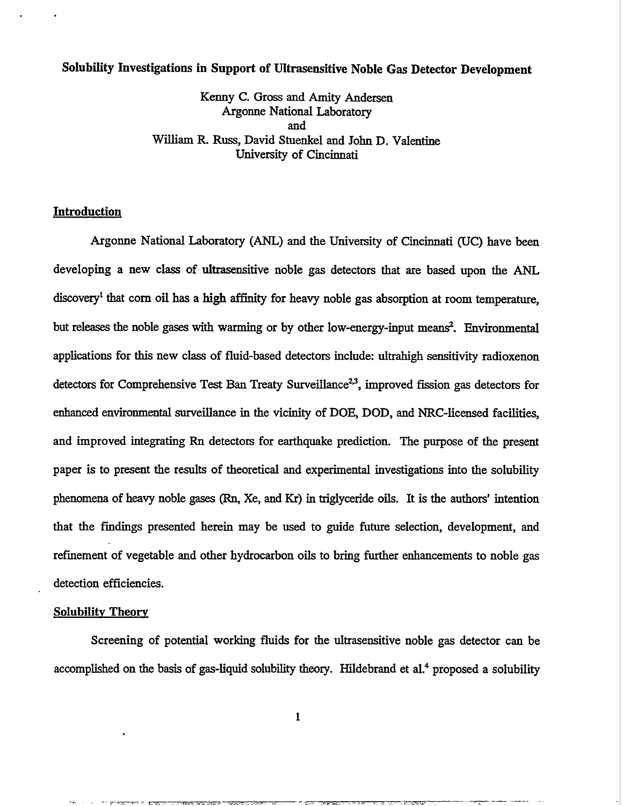## **Volubility Investigations in Support of Ultrasensitive Noble Gas Detector Development**

Kenny C. Gross and Amity Andersen Argonne National Laboratory and William R. Russ, David Stuenkel and John D. Valentine University of Cincinnati

#### **Introduction**

. .

**Argonne** National Laboratory (ANL) and the University of Cincinnati (UC) have been developing a new class of ultrasensitive noble gas detectors that are based upon the ANI discoveryl that corn oil has **a high affinity** for heavy noble gas absorption at room temperature, but releases the noble gases with warming or by other low-energy-input means?. Environmental applications for this new class of fluid-based detectors include: ultrahigh sensitivity radioxenon detectors for Comprehensive Test Ban Treaty Surveillance<sup>2,3</sup>, improved fission gas detectors for enhanced environmental surveillance in the vicinity of DOE, DOD, and NRC-licensed facilities, and improved integrating Rn detectors for earthquake prediction. The purpose of the present paper is to present the results of theoretical and experimental investigations into the solubility phenomena of heavy noble gases (Rn, Xe, and Kr) in triglyceride oils. It is the authors' intention that the findings presented herein may be used to guide future selection, development, and refinement of vegetable and other hydrocarbon oils to bring further enhancements to noble gas detection efficiencies.

#### **Solubilitv Theory**

Screening of potential working fluids for the ultrasensitive noble gas detector can be accomplished on the basis of gas-liquid solubility theory. Hildebrand et al.<sup>4</sup> proposed a solubility

-., -, . ,-.&\_.\_.m.m .,. ,=, -..,=.Z-.. ,, - =-v -- ,. .. . . .. ...- ,. 7.-7WT7C——— - ——- -- —--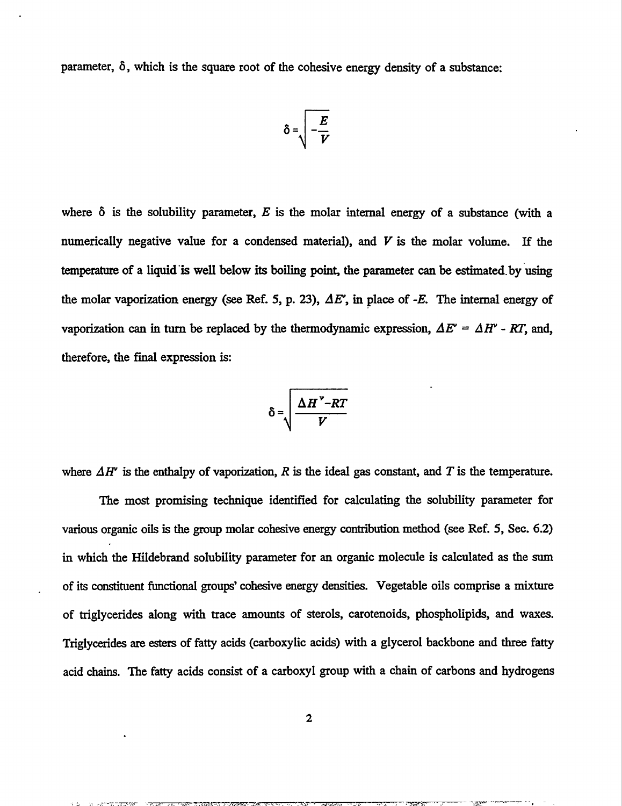parameter, 6, which is the square root of the cohesive energy density of a substance:

$$
\delta = \sqrt{-\frac{E}{V}}
$$

where  $\delta$  is the solubility parameter, E is the molar internal energy of a substance (with a numerically negative value for a condensed material), and *V is the* molar volume. If the tempemture of a **liquid "iswell** below its boiling poink the parameter can be estimated.by 'using the molar vaporization energy (see Ref. 5, p. 23),  $\Delta E'$ , in place of  $-E$ . The internal energy of vaporization can in turn be replaced by the thermodynamic expression,  $\Delta E' = \Delta H' - RT$ , and, therefore, the final expression is

$$
\delta = \sqrt{\frac{\Delta H^{\nu} - RT}{V}}
$$

where  $\Delta H^{\prime}$  is the enthalpy of vaporization, R is the ideal gas constant, and T is the temperature.

The most promising technique identified for calculating the solubility parameter for various organic oils is the group molar cohesive energy contribution method (see Ref. 5, Sec. 6.2) in which the Hildebrand solubility parameter for an organic molecule is calculated as the sum of its constituent Iimctional groups' cohesive energy densities. Vegetable oils comprise a mixture of triglycerides along with trace amounts of sterols, carotenoids, phospholipids, and waxes. Triglycerides are esters of fatty acids (carboxylic acids) with a glycerol backbone and three fatty acid chains. The fatty acids consist of a carboxyl group with a chain of carbons and hydrogens

------ -2-..? .,,., ... . . . . ... . . . -- 7+?3 . . — -.+T=—. ——- - .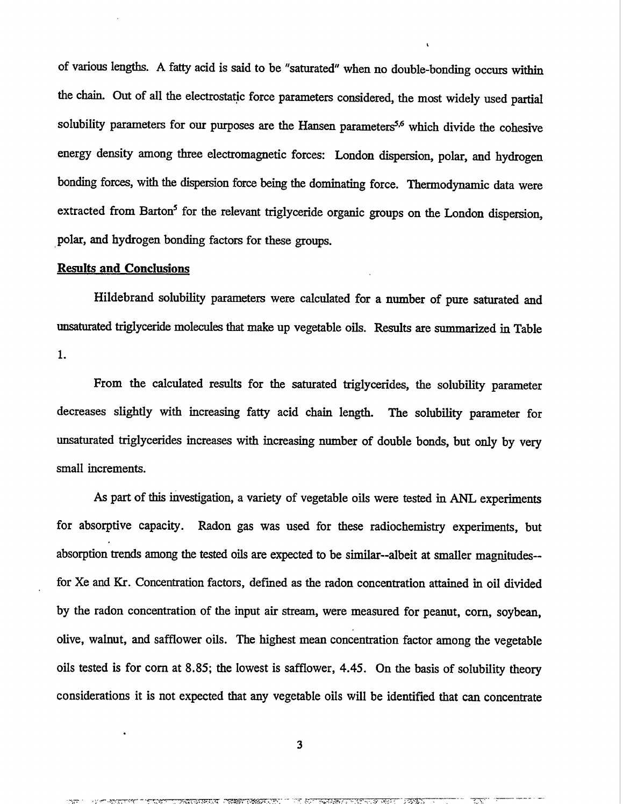of various lengths. A fatty acid is said to be "saturated" when no double-bonding occurs within the chain. Out of all the electrostatic force parameters considered, the most widely used partial solubility parameters for our purposes are the Hansen parameters<sup>5,6</sup> which divide the cohesive energy density among three electromagnetic forces: London dispersion, polar, and hydrogen bonding forces, with the dispersion force being the dominating force. Thermodynamic data were extracted from Barton<sup>5</sup> for the relevant triglyceride organic groups on the London dispersion, polar, and hydrogen bonding factors for these groups.

L

#### **Results and Conclusions**

.

Hildebrand volubility parameters were calculated for a number of pure saturated and unsaturated triglyceride molecules that make up vegetable oils. Results are summarized in Table **1.**

From the calculated results for the saturated triglycerides, the solubility parameter decreases slightly with increasing fatty acid chain length. The solubility parameter for unsaturated triglycerides increases with increasing number of double bonds, but only by very small increments.

As part of this investigation, a variety of vegetable oils were tested in ANL experiments for absorptive capacity. Radon gas was used for these radiochemistry experiments, but absorption trends among tie tested oils are expected to be similar--albeit at smaller magnitudes- for Xe and Kr. Concentration factors, defined as the radon concentration attained in oil divided by the radon concentration of the input air stream, were measured for peanut, corn, soybean olive, walnut, and safflower oils. The highest mean concentration factor among the vegetable oils tested is for corn at 8.85; the lowest is safflower, 4.45. On the basis of solubility theory considerations it is not expected that any vegetable oils will be identified that can concentrate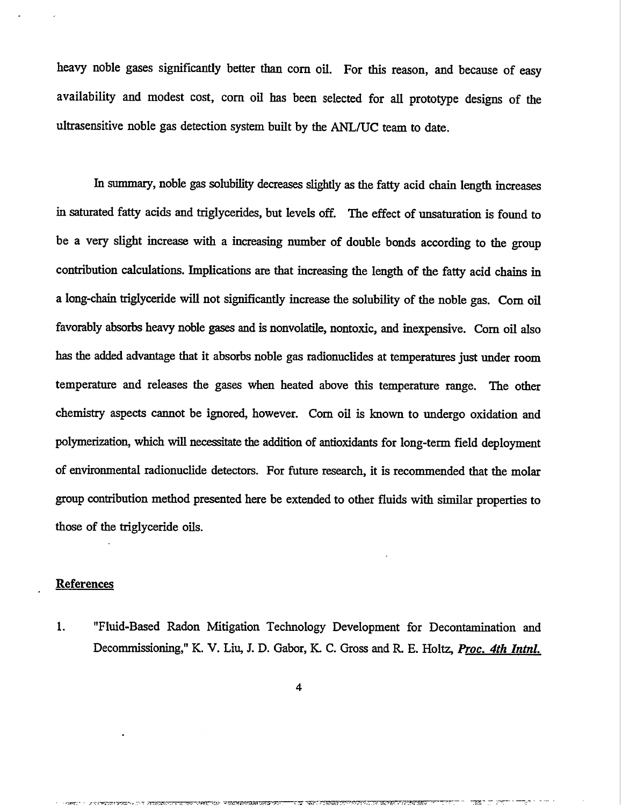heavy noble gases significantly better than com oil. For this reason, and because of easy availability and modest cost, com oil has been selected for all prototype designs of the ultrasensitive noble gas detection system built by the ANL/UC team to date.

In summary, noble gas solubility decreases slightly as the fatty acid chain length increases in saturated fatty acids and triglycerides, but levels off. The effect of unsaturation is found to be a very slight increase with a increasing number of double bonds according to the group contribution calculations. Implications are that increasing the length of the fatty acid chains in a long-chain triglyceride will not significantly increase the solubility of the noble gas. Corn oil favorably absorbs heavy noble gases and is nonvolatile, nontoxic, and inexpensive. Corn oil also has the added advantage that it absorbs noble gas radionuclides at temperatures just under room temperature and releases the gases when heated above this temperature range. The other chemistry aspects cannot be ignored, however. Corn oil is known to undergo oxidation and polymerization, which will necessitate the addition of antioxidants for long-term field deployment of environmental radionuclide detectors. For future research, it is recommended that the molar group contribution method presented here be extended to other fluids with similar properties to those of the triglyceride oils.

#### **References**

1. "Fluid-Based Radon Mitigation Technology Development for Decontamination and Decommissioning," K. V. Liu, J. D. Gabor, K. C. Gross and R. E. Holtz, *Proc. 4th Intnl.* 

. A state of the state of the state of the state of the state of  $\mathcal{I}$  . The state  $\mathcal{I}$  is the state of  $\mathcal{I}$ 

,'mm.- , .-.r..,-.r, Tin.. .-.. " <sup>&</sup>gt; ., ,. . . -,-..\*T7 \ . --- m-at..mm-.m —- —.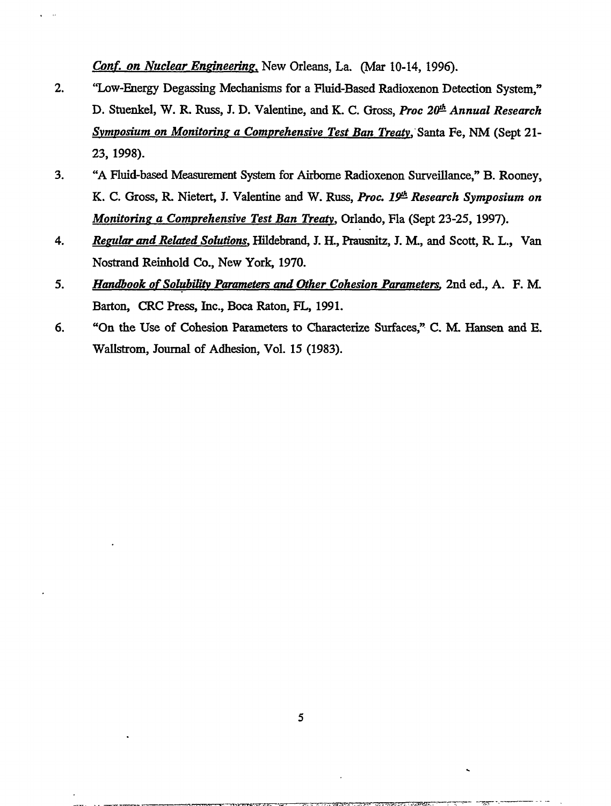Conf. on Nuclear Engineering, New Orleans, La. (Mar 10-14, 1996).

- $2.$ "Low-Energy Degassing Mechanisms for a Fluid-Based Radioxenon Detection System." D. Stuenkel, W. R. Russ, J. D. Valentine, and K. C. Gross, Proc 20<sup>th</sup> Annual Research Symposium on Monitoring a Comprehensive Test Ban Treaty, Santa Fe, NM (Sept 21-23, 1998).
- "A Fluid-based Measurement System for Airborne Radioxenon Surveillance," B. Rooney,  $3.$ K. C. Gross, R. Nietert, J. Valentine and W. Russ, Proc. 19th Research Symposium on Monitoring a Comprehensive Test Ban Treaty, Orlando, Fla (Sept 23-25, 1997).
- Regular and Related Solutions, Hildebrand, J. H., Prausnitz, J. M., and Scott, R. L., Van 4. Nostrand Reinhold Co., New York, 1970.
- $5<sub>1</sub>$ Handbook of Solubility Parameters and Other Cohesion Parameters, 2nd ed., A. F. M. Barton, CRC Press, Inc., Boca Raton, FL, 1991.
- "On the Use of Cohesion Parameters to Characterize Surfaces." C. M. Hansen and E. 6. Wallstrom, Journal of Adhesion, Vol. 15 (1983).